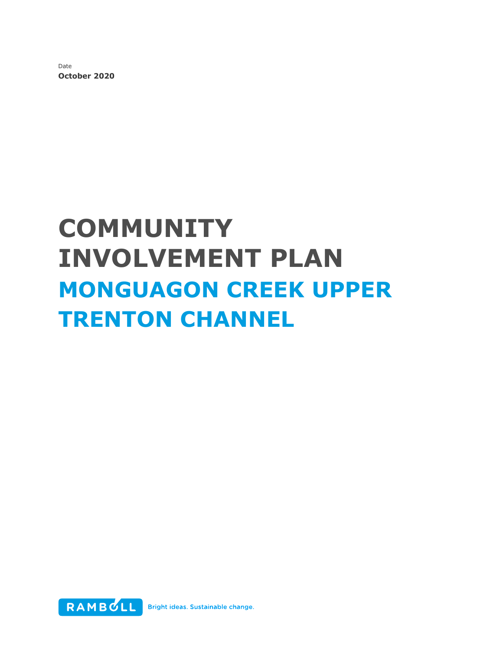Date **October 2020**

# **COMMUNITY INVOLVEMENT PLAN MONGUAGON CREEK UPPER TRENTON CHANNEL**

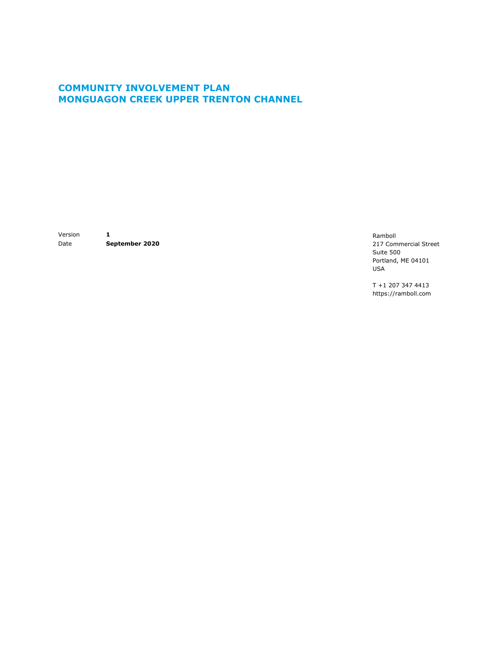## **COMMUNITY INVOLVEMENT PLAN MONGUAGON CREEK UPPER TRENTON CHANNEL**

Version **1** Date **September 2020**

Ramboll 217 Commercial Street Suite 500 Portland, ME 04101 USA

T +1 207 347 4413 https://ramboll.com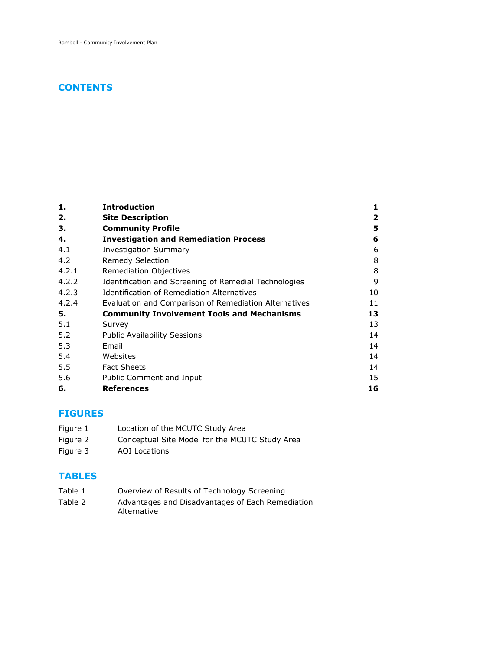## **CONTENTS**

| 1.    | <b>Introduction</b>                                   | 1  |
|-------|-------------------------------------------------------|----|
| 2.    | <b>Site Description</b>                               | 2  |
| З.    | <b>Community Profile</b>                              | 5  |
| 4.    | <b>Investigation and Remediation Process</b>          | 6  |
| 4.1   | <b>Investigation Summary</b>                          | 6  |
| 4.2   | <b>Remedy Selection</b>                               | 8  |
| 4.2.1 | Remediation Objectives                                | 8  |
| 4.2.2 | Identification and Screening of Remedial Technologies | 9  |
| 4.2.3 | <b>Identification of Remediation Alternatives</b>     | 10 |
| 4.2.4 | Evaluation and Comparison of Remediation Alternatives | 11 |
| 5.    | <b>Community Involvement Tools and Mechanisms</b>     | 13 |
| 5.1   | Survey                                                | 13 |
| 5.2   | <b>Public Availability Sessions</b>                   | 14 |
| 5.3   | Email                                                 | 14 |
| 5.4   | Websites                                              | 14 |
| 5.5   | <b>Fact Sheets</b>                                    | 14 |
| 5.6   | Public Comment and Input                              | 15 |
| 6.    | <b>References</b>                                     | 16 |

### **FIGURES**

- Figure 1 Location of the MCUTC Study Area
- Figure 2 Conceptual Site Model for the MCUTC Study Area
- Figure 3 AOI Locations

#### **TABLES**

- Table 1 Overview of Results of Technology Screening
- Table 2 Advantages and Disadvantages of Each Remediation Alternative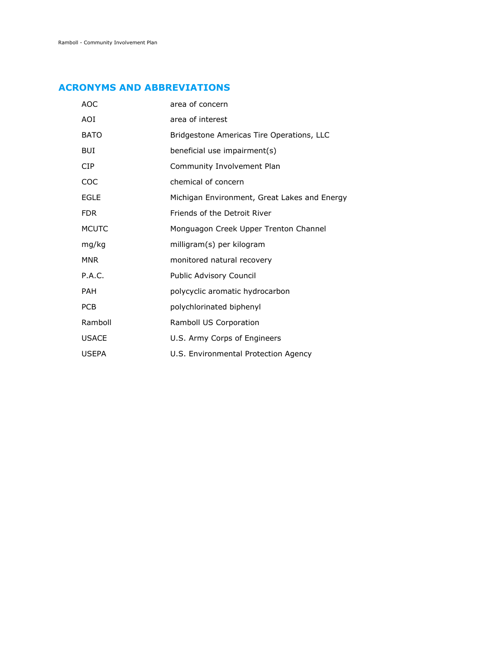## **ACRONYMS AND ABBREVIATIONS**

| <b>AOC</b>   | area of concern                              |
|--------------|----------------------------------------------|
| AOI          | area of interest                             |
| <b>BATO</b>  | Bridgestone Americas Tire Operations, LLC    |
| <b>BUI</b>   | beneficial use impairment(s)                 |
| <b>CIP</b>   | Community Involvement Plan                   |
| COC          | chemical of concern                          |
| <b>EGLE</b>  | Michigan Environment, Great Lakes and Energy |
| <b>FDR</b>   | Friends of the Detroit River                 |
| <b>MCUTC</b> | Monguagon Creek Upper Trenton Channel        |
| mg/kg        | milligram(s) per kilogram                    |
| <b>MNR</b>   | monitored natural recovery                   |
| P.A.C.       | Public Advisory Council                      |
| <b>PAH</b>   | polycyclic aromatic hydrocarbon              |
| <b>PCB</b>   | polychlorinated biphenyl                     |
| Ramboll      | Ramboll US Corporation                       |
| <b>USACE</b> | U.S. Army Corps of Engineers                 |
| <b>USEPA</b> | U.S. Environmental Protection Agency         |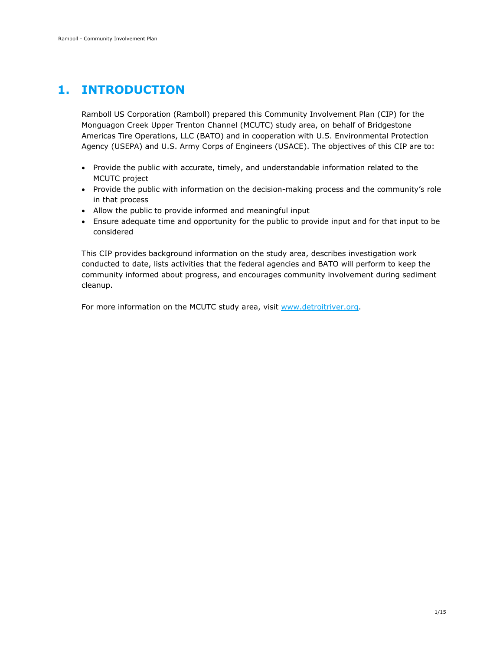## <span id="page-4-0"></span>**1. INTRODUCTION**

Ramboll US Corporation (Ramboll) prepared this Community Involvement Plan (CIP) for the Monguagon Creek Upper Trenton Channel (MCUTC) study area, on behalf of Bridgestone Americas Tire Operations, LLC (BATO) and in cooperation with U.S. Environmental Protection Agency (USEPA) and U.S. Army Corps of Engineers (USACE). The objectives of this CIP are to:

- Provide the public with accurate, timely, and understandable information related to the MCUTC project
- Provide the public with information on the decision-making process and the community's role in that process
- Allow the public to provide informed and meaningful input
- Ensure adequate time and opportunity for the public to provide input and for that input to be considered

This CIP provides background information on the study area, describes investigation work conducted to date, lists activities that the federal agencies and BATO will perform to keep the community informed about progress, and encourages community involvement during sediment cleanup.

For more information on the MCUTC study area, visit [www.detroitriver.org.](http://www.detroitriver.org/)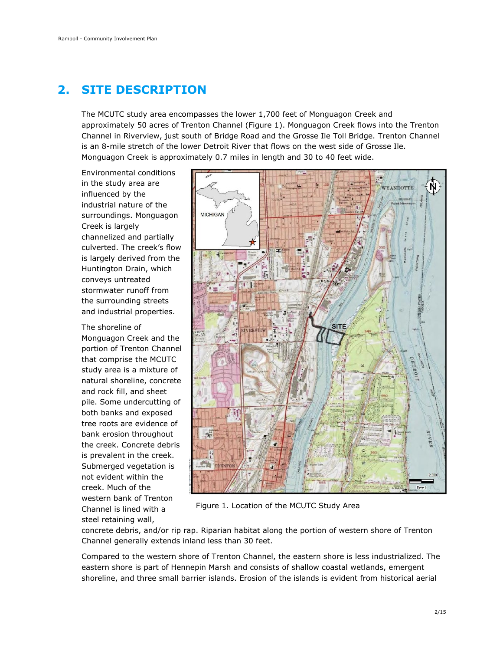## <span id="page-5-0"></span>**2. SITE DESCRIPTION**

The MCUTC study area encompasses the lower 1,700 feet of Monguagon Creek and approximately 50 acres of Trenton Channel (Figure 1). Monguagon Creek flows into the Trenton Channel in Riverview, just south of Bridge Road and the Grosse Ile Toll Bridge. Trenton Channel is an 8-mile stretch of the lower Detroit River that flows on the west side of Grosse Ile. Monguagon Creek is approximately 0.7 miles in length and 30 to 40 feet wide.

Environmental conditions in the study area are influenced by the industrial nature of the surroundings. Monguagon Creek is largely channelized and partially culverted. The creek's flow is largely derived from the Huntington Drain, which conveys untreated stormwater runoff from the surrounding streets and industrial properties.

The shoreline of Monguagon Creek and the portion of Trenton Channel that comprise the MCUTC study area is a mixture of natural shoreline, concrete and rock fill, and sheet pile. Some undercutting of both banks and exposed tree roots are evidence of bank erosion throughout the creek. Concrete debris is prevalent in the creek. Submerged vegetation is not evident within the creek. Much of the western bank of Trenton Channel is lined with a steel retaining wall,



Figure 1. Location of the MCUTC Study Area

concrete debris, and/or rip rap. Riparian habitat along the portion of western shore of Trenton Channel generally extends inland less than 30 feet.

Compared to the western shore of Trenton Channel, the eastern shore is less industrialized. The eastern shore is part of Hennepin Marsh and consists of shallow coastal wetlands, emergent shoreline, and three small barrier islands. Erosion of the islands is evident from historical aerial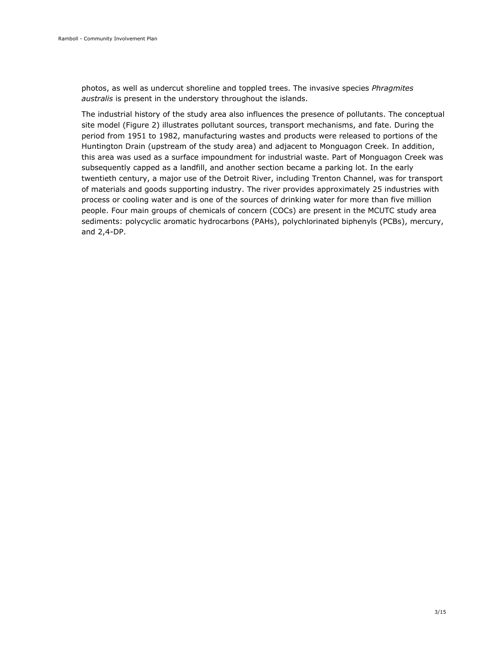photos, as well as undercut shoreline and toppled trees. The invasive species *Phragmites australis* is present in the understory throughout the islands.

The industrial history of the study area also influences the presence of pollutants. The conceptual site model (Figure 2) illustrates pollutant sources, transport mechanisms, and fate. During the period from 1951 to 1982, manufacturing wastes and products were released to portions of the Huntington Drain (upstream of the study area) and adjacent to Monguagon Creek. In addition, this area was used as a surface impoundment for industrial waste. Part of Monguagon Creek was subsequently capped as a landfill, and another section became a parking lot. In the early twentieth century, a major use of the Detroit River, including Trenton Channel, was for transport of materials and goods supporting industry. The river provides approximately 25 industries with process or cooling water and is one of the sources of drinking water for more than five million people. Four main groups of chemicals of concern (COCs) are present in the MCUTC study area sediments: polycyclic aromatic hydrocarbons (PAHs), polychlorinated biphenyls (PCBs), mercury, and 2,4-DP.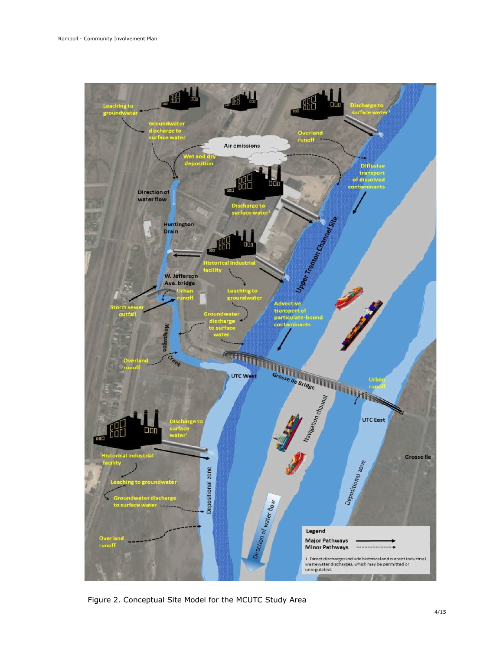

Figure 2. Conceptual Site Model for the MCUTC Study Area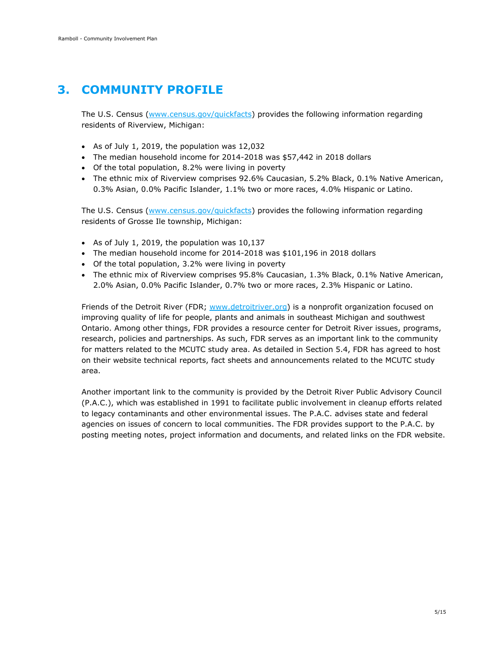# <span id="page-8-0"></span>**3. COMMUNITY PROFILE**

The U.S. Census [\(www.census.gov/quickfacts\)](http://www.census.gov/quickfacts) provides the following information regarding residents of Riverview, Michigan:

- As of July 1, 2019, the population was 12,032
- The median household income for 2014-2018 was \$57,442 in 2018 dollars
- Of the total population, 8.2% were living in poverty
- The ethnic mix of Riverview comprises 92.6% Caucasian, 5.2% Black, 0.1% Native American, 0.3% Asian, 0.0% Pacific Islander, 1.1% two or more races, 4.0% Hispanic or Latino.

The U.S. Census [\(www.census.gov/quickfacts\)](http://www.census.gov/quickfacts) provides the following information regarding residents of Grosse Ile township, Michigan:

- As of July 1, 2019, the population was 10,137
- The median household income for 2014-2018 was \$101,196 in 2018 dollars
- Of the total population, 3.2% were living in poverty
- The ethnic mix of Riverview comprises 95.8% Caucasian, 1.3% Black, 0.1% Native American, 2.0% Asian, 0.0% Pacific Islander, 0.7% two or more races, 2.3% Hispanic or Latino.

Friends of the Detroit River (FDR; [www.detroitriver.org\)](http://www.detroitriver.org/) is a nonprofit organization focused on improving quality of life for people, plants and animals in southeast Michigan and southwest Ontario. Among other things, FDR provides a resource center for Detroit River issues, programs, research, policies and partnerships. As such, FDR serves as an important link to the community for matters related to the MCUTC study area. As detailed in Section 5.4, FDR has agreed to host on their website technical reports, fact sheets and announcements related to the MCUTC study area.

Another important link to the community is provided by the Detroit River Public Advisory Council (P.A.C.), which was established in 1991 to facilitate public involvement in cleanup efforts related to legacy contaminants and other environmental issues. The P.A.C. advises state and federal agencies on issues of concern to local communities. The FDR provides support to the P.A.C. by posting meeting notes, project information and documents, and related links on the FDR website.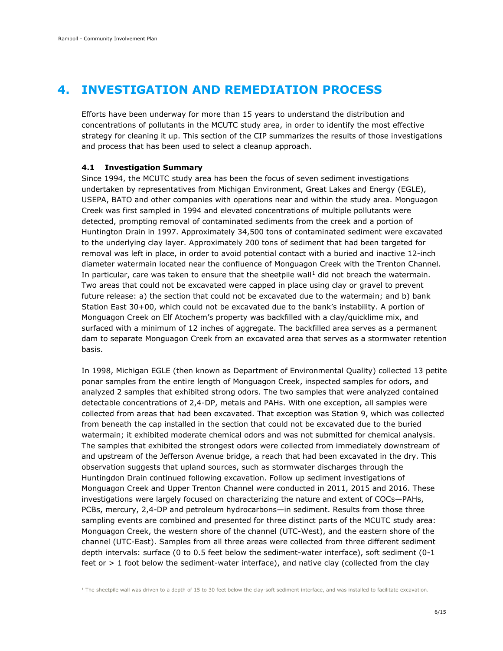## <span id="page-9-0"></span>**4. INVESTIGATION AND REMEDIATION PROCESS**

Efforts have been underway for more than 15 years to understand the distribution and concentrations of pollutants in the MCUTC study area, in order to identify the most effective strategy for cleaning it up. This section of the CIP summarizes the results of those investigations and process that has been used to select a cleanup approach.

#### <span id="page-9-1"></span>**4.1 Investigation Summary**

Since 1994, the MCUTC study area has been the focus of seven sediment investigations undertaken by representatives from Michigan Environment, Great Lakes and Energy (EGLE), USEPA, BATO and other companies with operations near and within the study area. Monguagon Creek was first sampled in 1994 and elevated concentrations of multiple pollutants were detected, prompting removal of contaminated sediments from the creek and a portion of Huntington Drain in 1997. Approximately 34,500 tons of contaminated sediment were excavated to the underlying clay layer. Approximately 200 tons of sediment that had been targeted for removal was left in place, in order to avoid potential contact with a buried and inactive 12-inch diameter watermain located near the confluence of Monguagon Creek with the Trenton Channel. In particular, care was taken to ensure that the sheetpile wall<sup>[1](#page-9-2)</sup> did not breach the watermain. Two areas that could not be excavated were capped in place using clay or gravel to prevent future release: a) the section that could not be excavated due to the watermain; and b) bank Station East 30+00, which could not be excavated due to the bank's instability. A portion of Monguagon Creek on Elf Atochem's property was backfilled with a clay/quicklime mix, and surfaced with a minimum of 12 inches of aggregate. The backfilled area serves as a permanent dam to separate Monguagon Creek from an excavated area that serves as a stormwater retention basis.

In 1998, Michigan EGLE (then known as Department of Environmental Quality) collected 13 petite ponar samples from the entire length of Monguagon Creek, inspected samples for odors, and analyzed 2 samples that exhibited strong odors. The two samples that were analyzed contained detectable concentrations of 2,4-DP, metals and PAHs. With one exception, all samples were collected from areas that had been excavated. That exception was Station 9, which was collected from beneath the cap installed in the section that could not be excavated due to the buried watermain; it exhibited moderate chemical odors and was not submitted for chemical analysis. The samples that exhibited the strongest odors were collected from immediately downstream of and upstream of the Jefferson Avenue bridge, a reach that had been excavated in the dry. This observation suggests that upland sources, such as stormwater discharges through the Huntingdon Drain continued following excavation. Follow up sediment investigations of Monguagon Creek and Upper Trenton Channel were conducted in 2011, 2015 and 2016. These investigations were largely focused on characterizing the nature and extent of COCs—PAHs, PCBs, mercury, 2,4-DP and petroleum hydrocarbons—in sediment. Results from those three sampling events are combined and presented for three distinct parts of the MCUTC study area: Monguagon Creek, the western shore of the channel (UTC-West), and the eastern shore of the channel (UTC-East). Samples from all three areas were collected from three different sediment depth intervals: surface (0 to 0.5 feet below the sediment-water interface), soft sediment (0-1 feet or > 1 foot below the sediment-water interface), and native clay (collected from the clay

<span id="page-9-2"></span><sup>1</sup> The sheetpile wall was driven to a depth of 15 to 30 feet below the clay-soft sediment interface, and was installed to facilitate excavation.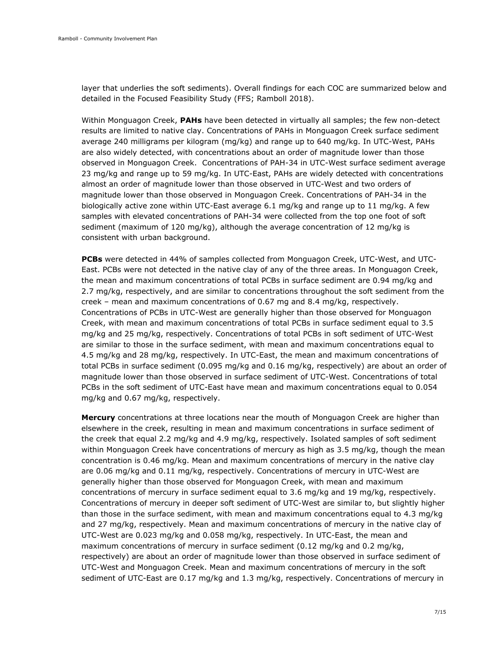layer that underlies the soft sediments). Overall findings for each COC are summarized below and detailed in the Focused Feasibility Study (FFS; Ramboll 2018).

Within Monguagon Creek, **PAHs** have been detected in virtually all samples; the few non-detect results are limited to native clay. Concentrations of PAHs in Monguagon Creek surface sediment average 240 milligrams per kilogram (mg/kg) and range up to 640 mg/kg. In UTC-West, PAHs are also widely detected, with concentrations about an order of magnitude lower than those observed in Monguagon Creek. Concentrations of PAH-34 in UTC-West surface sediment average 23 mg/kg and range up to 59 mg/kg. In UTC-East, PAHs are widely detected with concentrations almost an order of magnitude lower than those observed in UTC-West and two orders of magnitude lower than those observed in Monguagon Creek. Concentrations of PAH-34 in the biologically active zone within UTC-East average 6.1 mg/kg and range up to 11 mg/kg. A few samples with elevated concentrations of PAH-34 were collected from the top one foot of soft sediment (maximum of 120 mg/kg), although the average concentration of 12 mg/kg is consistent with urban background.

**PCBs** were detected in 44% of samples collected from Monguagon Creek, UTC-West, and UTC-East. PCBs were not detected in the native clay of any of the three areas. In Monguagon Creek, the mean and maximum concentrations of total PCBs in surface sediment are 0.94 mg/kg and 2.7 mg/kg, respectively, and are similar to concentrations throughout the soft sediment from the creek – mean and maximum concentrations of 0.67 mg and 8.4 mg/kg, respectively. Concentrations of PCBs in UTC-West are generally higher than those observed for Monguagon Creek, with mean and maximum concentrations of total PCBs in surface sediment equal to 3.5 mg/kg and 25 mg/kg, respectively. Concentrations of total PCBs in soft sediment of UTC-West are similar to those in the surface sediment, with mean and maximum concentrations equal to 4.5 mg/kg and 28 mg/kg, respectively. In UTC-East, the mean and maximum concentrations of total PCBs in surface sediment (0.095 mg/kg and 0.16 mg/kg, respectively) are about an order of magnitude lower than those observed in surface sediment of UTC-West. Concentrations of total PCBs in the soft sediment of UTC-East have mean and maximum concentrations equal to 0.054 mg/kg and 0.67 mg/kg, respectively.

**Mercury** concentrations at three locations near the mouth of Monguagon Creek are higher than elsewhere in the creek, resulting in mean and maximum concentrations in surface sediment of the creek that equal 2.2 mg/kg and 4.9 mg/kg, respectively. Isolated samples of soft sediment within Monguagon Creek have concentrations of mercury as high as 3.5 mg/kg, though the mean concentration is 0.46 mg/kg. Mean and maximum concentrations of mercury in the native clay are 0.06 mg/kg and 0.11 mg/kg, respectively. Concentrations of mercury in UTC-West are generally higher than those observed for Monguagon Creek, with mean and maximum concentrations of mercury in surface sediment equal to 3.6 mg/kg and 19 mg/kg, respectively. Concentrations of mercury in deeper soft sediment of UTC-West are similar to, but slightly higher than those in the surface sediment, with mean and maximum concentrations equal to 4.3 mg/kg and 27 mg/kg, respectively. Mean and maximum concentrations of mercury in the native clay of UTC-West are 0.023 mg/kg and 0.058 mg/kg, respectively. In UTC-East, the mean and maximum concentrations of mercury in surface sediment (0.12 mg/kg and 0.2 mg/kg, respectively) are about an order of magnitude lower than those observed in surface sediment of UTC-West and Monguagon Creek. Mean and maximum concentrations of mercury in the soft sediment of UTC-East are 0.17 mg/kg and 1.3 mg/kg, respectively. Concentrations of mercury in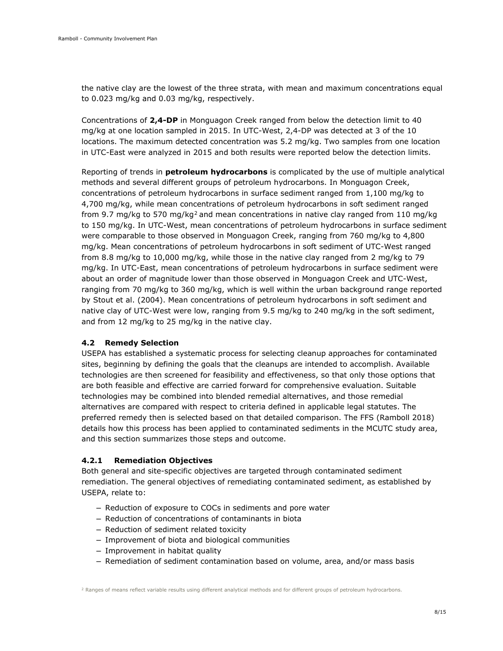the native clay are the lowest of the three strata, with mean and maximum concentrations equal to 0.023 mg/kg and 0.03 mg/kg, respectively.

Concentrations of **2,4-DP** in Monguagon Creek ranged from below the detection limit to 40 mg/kg at one location sampled in 2015. In UTC-West, 2,4-DP was detected at 3 of the 10 locations. The maximum detected concentration was 5.2 mg/kg. Two samples from one location in UTC-East were analyzed in 2015 and both results were reported below the detection limits.

Reporting of trends in **petroleum hydrocarbons** is complicated by the use of multiple analytical methods and several different groups of petroleum hydrocarbons. In Monguagon Creek, concentrations of petroleum hydrocarbons in surface sediment ranged from 1,100 mg/kg to 4,700 mg/kg, while mean concentrations of petroleum hydrocarbons in soft sediment ranged from 9.7 mg/kg to 570 mg/kg<sup>[2](#page-11-2)</sup> and mean concentrations in native clay ranged from 110 mg/kg to 150 mg/kg. In UTC-West, mean concentrations of petroleum hydrocarbons in surface sediment were comparable to those observed in Monguagon Creek, ranging from 760 mg/kg to 4,800 mg/kg. Mean concentrations of petroleum hydrocarbons in soft sediment of UTC-West ranged from 8.8 mg/kg to 10,000 mg/kg, while those in the native clay ranged from 2 mg/kg to 79 mg/kg. In UTC-East, mean concentrations of petroleum hydrocarbons in surface sediment were about an order of magnitude lower than those observed in Monguagon Creek and UTC-West, ranging from 70 mg/kg to 360 mg/kg, which is well within the urban background range reported by Stout et al. (2004). Mean concentrations of petroleum hydrocarbons in soft sediment and native clay of UTC-West were low, ranging from 9.5 mg/kg to 240 mg/kg in the soft sediment, and from 12 mg/kg to 25 mg/kg in the native clay.

#### <span id="page-11-0"></span>**4.2 Remedy Selection**

USEPA has established a systematic process for selecting cleanup approaches for contaminated sites, beginning by defining the goals that the cleanups are intended to accomplish. Available technologies are then screened for feasibility and effectiveness, so that only those options that are both feasible and effective are carried forward for comprehensive evaluation. Suitable technologies may be combined into blended remedial alternatives, and those remedial alternatives are compared with respect to criteria defined in applicable legal statutes. The preferred remedy then is selected based on that detailed comparison. The FFS (Ramboll 2018) details how this process has been applied to contaminated sediments in the MCUTC study area, and this section summarizes those steps and outcome.

#### <span id="page-11-1"></span>**4.2.1 Remediation Objectives**

Both general and site-specific objectives are targeted through contaminated sediment remediation. The general objectives of remediating contaminated sediment, as established by USEPA, relate to:

- Reduction of exposure to COCs in sediments and pore water
- Reduction of concentrations of contaminants in biota
- Reduction of sediment related toxicity
- Improvement of biota and biological communities
- Improvement in habitat quality
- <span id="page-11-2"></span>– Remediation of sediment contamination based on volume, area, and/or mass basis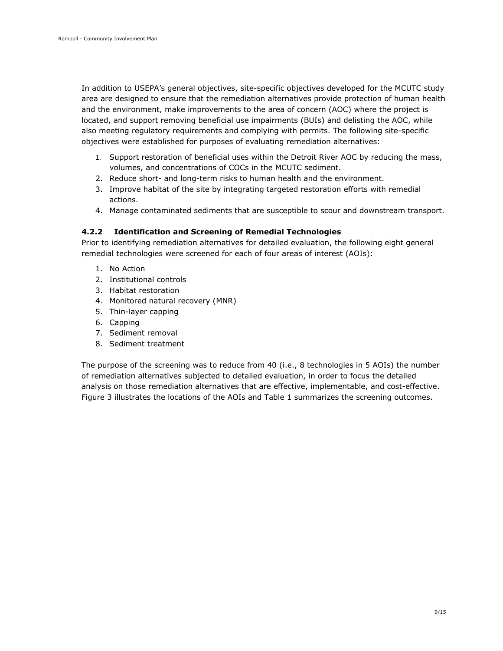In addition to USEPA's general objectives, site-specific objectives developed for the MCUTC study area are designed to ensure that the remediation alternatives provide protection of human health and the environment, make improvements to the area of concern (AOC) where the project is located, and support removing beneficial use impairments (BUIs) and delisting the AOC, while also meeting regulatory requirements and complying with permits. The following site-specific objectives were established for purposes of evaluating remediation alternatives:

- 1. Support restoration of beneficial uses within the Detroit River AOC by reducing the mass, volumes, and concentrations of COCs in the MCUTC sediment.
- 2. Reduce short- and long-term risks to human health and the environment.
- 3. Improve habitat of the site by integrating targeted restoration efforts with remedial actions.
- 4. Manage contaminated sediments that are susceptible to scour and downstream transport.

#### <span id="page-12-0"></span>**4.2.2 Identification and Screening of Remedial Technologies**

Prior to identifying remediation alternatives for detailed evaluation, the following eight general remedial technologies were screened for each of four areas of interest (AOIs):

- 1. No Action
- 2. Institutional controls
- 3. Habitat restoration
- 4. Monitored natural recovery (MNR)
- 5. Thin-layer capping
- 6. Capping
- 7. Sediment removal
- 8. Sediment treatment

The purpose of the screening was to reduce from 40 (i.e., 8 technologies in 5 AOIs) the number of remediation alternatives subjected to detailed evaluation, in order to focus the detailed analysis on those remediation alternatives that are effective, implementable, and cost-effective. Figure 3 illustrates the locations of the AOIs and Table 1 summarizes the screening outcomes.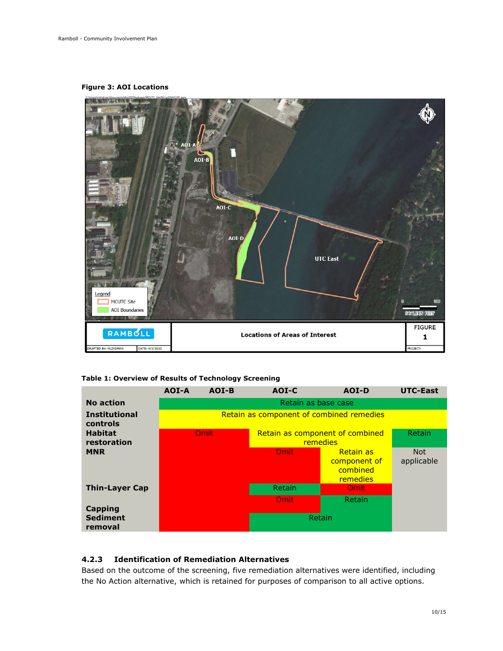**Figure 3: AOI Locations**



**Table 1: Overview of Results of Technology Screening**

|                                  | AOI-A                                    | AOI-B | AOI-C                                       | AOI-D                                                    | <b>UTC-East</b>          |
|----------------------------------|------------------------------------------|-------|---------------------------------------------|----------------------------------------------------------|--------------------------|
| No action                        | Retain as base case                      |       |                                             |                                                          |                          |
| <b>Institutional</b><br>controls | Retain as component of combined remedies |       |                                             |                                                          |                          |
| <b>Habitat</b><br>restoration    | Omit                                     |       | Retain as component of combined<br>remedies |                                                          | <b>Retain</b>            |
| <b>MNR</b>                       |                                          |       | Omit                                        | <b>Retain as</b><br>component of<br>combined<br>remedies | <b>Not</b><br>applicable |
| <b>Thin-Layer Cap</b>            |                                          |       | Retain                                      | Omit                                                     |                          |
|                                  |                                          |       | Omit                                        | <b>Retain</b>                                            |                          |
| Capping                          |                                          |       |                                             |                                                          |                          |
| <b>Sediment</b><br>removal       |                                          |       | Retain                                      |                                                          |                          |

#### <span id="page-13-0"></span>**4.2.3 Identification of Remediation Alternatives**

Based on the outcome of the screening, five remediation alternatives were identified, including the No Action alternative, which is retained for purposes of comparison to all active options.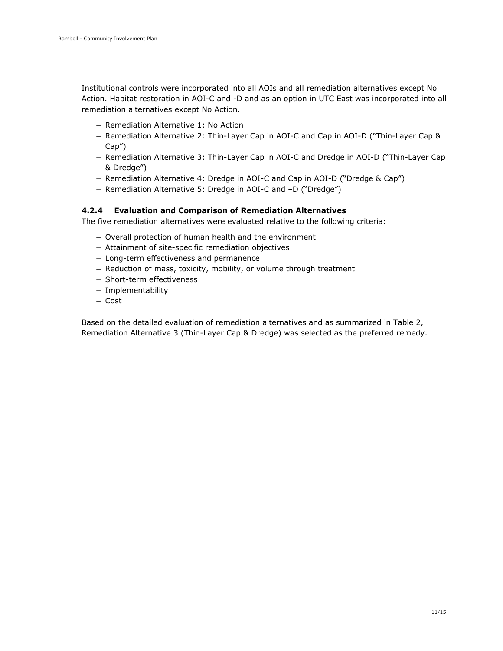Institutional controls were incorporated into all AOIs and all remediation alternatives except No Action. Habitat restoration in AOI-C and -D and as an option in UTC East was incorporated into all remediation alternatives except No Action.

- Remediation Alternative 1: No Action
- Remediation Alternative 2: Thin-Layer Cap in AOI-C and Cap in AOI-D ("Thin-Layer Cap & Cap")
- Remediation Alternative 3: Thin-Layer Cap in AOI-C and Dredge in AOI-D ("Thin-Layer Cap & Dredge")
- Remediation Alternative 4: Dredge in AOI-C and Cap in AOI-D ("Dredge & Cap")
- Remediation Alternative 5: Dredge in AOI-C and –D ("Dredge")

#### <span id="page-14-0"></span>**4.2.4 Evaluation and Comparison of Remediation Alternatives**

The five remediation alternatives were evaluated relative to the following criteria:

- Overall protection of human health and the environment
- Attainment of site-specific remediation objectives
- Long-term effectiveness and permanence
- Reduction of mass, toxicity, mobility, or volume through treatment
- Short-term effectiveness
- Implementability
- Cost

Based on the detailed evaluation of remediation alternatives and as summarized in Table 2, Remediation Alternative 3 (Thin-Layer Cap & Dredge) was selected as the preferred remedy.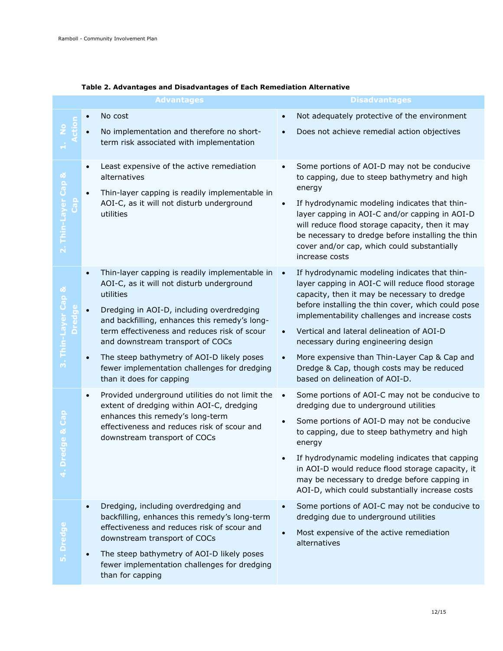|                                                   | <b>Advantages</b>                                                                                                                                                                                                                                                                                                                                                                                                                 | <b>Disadvantages</b>                                                                                                                                                                                                                                                                                                                                                                                                                                                                      |  |  |  |
|---------------------------------------------------|-----------------------------------------------------------------------------------------------------------------------------------------------------------------------------------------------------------------------------------------------------------------------------------------------------------------------------------------------------------------------------------------------------------------------------------|-------------------------------------------------------------------------------------------------------------------------------------------------------------------------------------------------------------------------------------------------------------------------------------------------------------------------------------------------------------------------------------------------------------------------------------------------------------------------------------------|--|--|--|
|                                                   | No cost<br>No implementation and therefore no short-<br>term risk associated with implementation                                                                                                                                                                                                                                                                                                                                  | Not adequately protective of the environment<br>$\bullet$<br>Does not achieve remedial action objectives<br>$\bullet$                                                                                                                                                                                                                                                                                                                                                                     |  |  |  |
| Cap &<br>2. Thin-Layer<br>a<br>Ca                 | Least expensive of the active remediation<br>$\bullet$<br>alternatives<br>Thin-layer capping is readily implementable in<br>AOI-C, as it will not disturb underground<br>utilities                                                                                                                                                                                                                                                | Some portions of AOI-D may not be conducive<br>to capping, due to steep bathymetry and high<br>energy<br>If hydrodynamic modeling indicates that thin-<br>$\bullet$<br>layer capping in AOI-C and/or capping in AOI-D<br>will reduce flood storage capacity, then it may<br>be necessary to dredge before installing the thin<br>cover and/or cap, which could substantially<br>increase costs                                                                                            |  |  |  |
| Thin-Layer Cap &<br><b>Dredge</b><br>$\mathbf{m}$ | Thin-layer capping is readily implementable in<br>AOI-C, as it will not disturb underground<br>utilities<br>Dredging in AOI-D, including overdredging<br>and backfilling, enhances this remedy's long-<br>term effectiveness and reduces risk of scour<br>and downstream transport of COCs<br>The steep bathymetry of AOI-D likely poses<br>$\bullet$<br>fewer implementation challenges for dredging<br>than it does for capping | If hydrodynamic modeling indicates that thin-<br>layer capping in AOI-C will reduce flood storage<br>capacity, then it may be necessary to dredge<br>before installing the thin cover, which could pose<br>implementability challenges and increase costs<br>Vertical and lateral delineation of AOI-D<br>necessary during engineering design<br>More expensive than Thin-Layer Cap & Cap and<br>$\bullet$<br>Dredge & Cap, though costs may be reduced<br>based on delineation of AOI-D. |  |  |  |
| Cap<br>ಟೆ<br>edge                                 | Provided underground utilities do not limit the<br>$\bullet$<br>extent of dredging within AOI-C, dredging<br>enhances this remedy's long-term<br>effectiveness and reduces risk of scour and<br>downstream transport of COCs                                                                                                                                                                                                      | Some portions of AOI-C may not be conducive to<br>$\bullet$<br>dredging due to underground utilities<br>Some portions of AOI-D may not be conducive<br>$\bullet$<br>to capping, due to steep bathymetry and high<br>energy<br>If hydrodynamic modeling indicates that capping<br>in AOI-D would reduce flood storage capacity, it<br>may be necessary to dredge before capping in<br>AOI-D, which could substantially increase costs                                                      |  |  |  |
| 5. Dredge                                         | Dredging, including overdredging and<br>$\bullet$<br>backfilling, enhances this remedy's long-term<br>effectiveness and reduces risk of scour and<br>downstream transport of COCs<br>The steep bathymetry of AOI-D likely poses<br>fewer implementation challenges for dredging<br>than for capping                                                                                                                               | Some portions of AOI-C may not be conducive to<br>dredging due to underground utilities<br>Most expensive of the active remediation<br>alternatives                                                                                                                                                                                                                                                                                                                                       |  |  |  |

#### **Table 2. Advantages and Disadvantages of Each Remediation Alternative**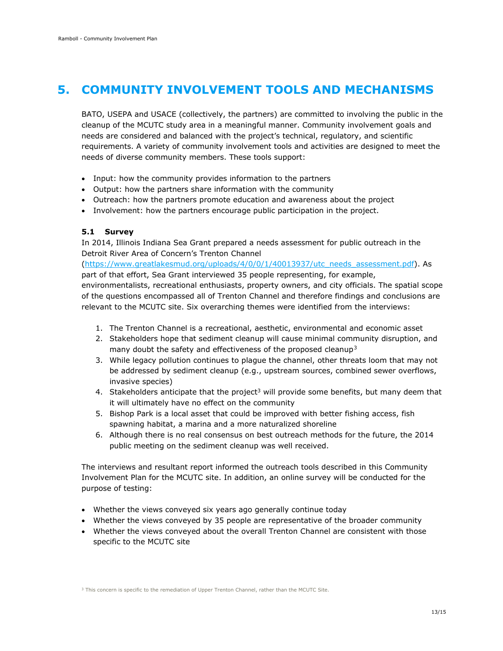## <span id="page-16-0"></span>**5. COMMUNITY INVOLVEMENT TOOLS AND MECHANISMS**

BATO, USEPA and USACE (collectively, the partners) are committed to involving the public in the cleanup of the MCUTC study area in a meaningful manner. Community involvement goals and needs are considered and balanced with the project's technical, regulatory, and scientific requirements. A variety of community involvement tools and activities are designed to meet the needs of diverse community members. These tools support:

- Input: how the community provides information to the partners
- Output: how the partners share information with the community
- Outreach: how the partners promote education and awareness about the project
- <span id="page-16-1"></span>• Involvement: how the partners encourage public participation in the project.

#### **5.1 Survey**

In 2014, Illinois Indiana Sea Grant prepared a needs assessment for public outreach in the Detroit River Area of Concern's Trenton Channel

[\(https://www.greatlakesmud.org/uploads/4/0/0/1/40013937/utc\\_needs\\_assessment.pdf\)](https://www.greatlakesmud.org/uploads/4/0/0/1/40013937/utc_needs_assessment.pdf). As part of that effort, Sea Grant interviewed 35 people representing, for example, environmentalists, recreational enthusiasts, property owners, and city officials. The spatial scope of the questions encompassed all of Trenton Channel and therefore findings and conclusions are relevant to the MCUTC site. Six overarching themes were identified from the interviews:

- 1. The Trenton Channel is a recreational, aesthetic, environmental and economic asset
- 2. Stakeholders hope that sediment cleanup will cause minimal community disruption, and many doubt the safety and effectiveness of the proposed cleanup<sup>[3](#page-16-2)</sup>
- 3. While legacy pollution continues to plague the channel, other threats loom that may not be addressed by sediment cleanup (e.g., upstream sources, combined sewer overflows, invasive species)
- 4. Stakeholders anticipate that the project<sup>3</sup> will provide some benefits, but many deem that it will ultimately have no effect on the community
- 5. Bishop Park is a local asset that could be improved with better fishing access, fish spawning habitat, a marina and a more naturalized shoreline
- 6. Although there is no real consensus on best outreach methods for the future, the 2014 public meeting on the sediment cleanup was well received.

The interviews and resultant report informed the outreach tools described in this Community Involvement Plan for the MCUTC site. In addition, an online survey will be conducted for the purpose of testing:

- Whether the views conveyed six years ago generally continue today
- Whether the views conveyed by 35 people are representative of the broader community
- Whether the views conveyed about the overall Trenton Channel are consistent with those specific to the MCUTC site

<span id="page-16-2"></span><sup>3</sup> This concern is specific to the remediation of Upper Trenton Channel, rather than the MCUTC Site.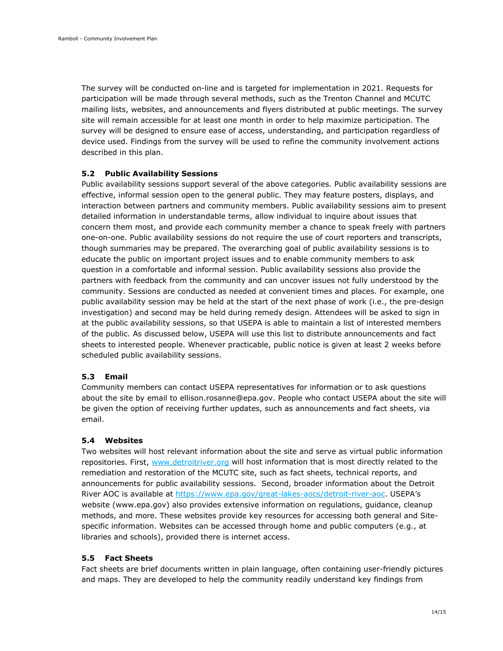The survey will be conducted on-line and is targeted for implementation in 2021. Requests for participation will be made through several methods, such as the Trenton Channel and MCUTC mailing lists, websites, and announcements and flyers distributed at public meetings. The survey site will remain accessible for at least one month in order to help maximize participation. The survey will be designed to ensure ease of access, understanding, and participation regardless of device used. Findings from the survey will be used to refine the community involvement actions described in this plan.

#### <span id="page-17-0"></span>**5.2 Public Availability Sessions**

Public availability sessions support several of the above categories. Public availability sessions are effective, informal session open to the general public. They may feature posters, displays, and interaction between partners and community members. Public availability sessions aim to present detailed information in understandable terms, allow individual to inquire about issues that concern them most, and provide each community member a chance to speak freely with partners one-on-one. Public availability sessions do not require the use of court reporters and transcripts, though summaries may be prepared. The overarching goal of public availability sessions is to educate the public on important project issues and to enable community members to ask question in a comfortable and informal session. Public availability sessions also provide the partners with feedback from the community and can uncover issues not fully understood by the community. Sessions are conducted as needed at convenient times and places. For example, one public availability session may be held at the start of the next phase of work (i.e., the pre-design investigation) and second may be held during remedy design. Attendees will be asked to sign in at the public availability sessions, so that USEPA is able to maintain a list of interested members of the public. As discussed below, USEPA will use this list to distribute announcements and fact sheets to interested people. Whenever practicable, public notice is given at least 2 weeks before scheduled public availability sessions.

#### <span id="page-17-1"></span>**5.3 Email**

Community members can contact USEPA representatives for information or to ask questions about the site by email to ellison.rosanne@epa.gov. People who contact USEPA about the site will be given the option of receiving further updates, such as announcements and fact sheets, via email.

#### <span id="page-17-2"></span>**5.4 Websites**

Two websites will host relevant information about the site and serve as virtual public information repositories. First, [www.detroitriver.org](http://www.detroitriver.org/) will host information that is most directly related to the remediation and restoration of the MCUTC site, such as fact sheets, technical reports, and announcements for public availability sessions. Second, broader information about the Detroit River AOC is available at [https://www.epa.gov/great-lakes-aocs/detroit-river-aoc.](https://www.epa.gov/great-lakes-aocs/detroit-river-aoc) USEPA's website (www.epa.gov) also provides extensive information on regulations, guidance, cleanup methods, and more. These websites provide key resources for accessing both general and Sitespecific information. Websites can be accessed through home and public computers (e.g., at libraries and schools), provided there is internet access.

#### <span id="page-17-3"></span>**5.5 Fact Sheets**

Fact sheets are brief documents written in plain language, often containing user-friendly pictures and maps. They are developed to help the community readily understand key findings from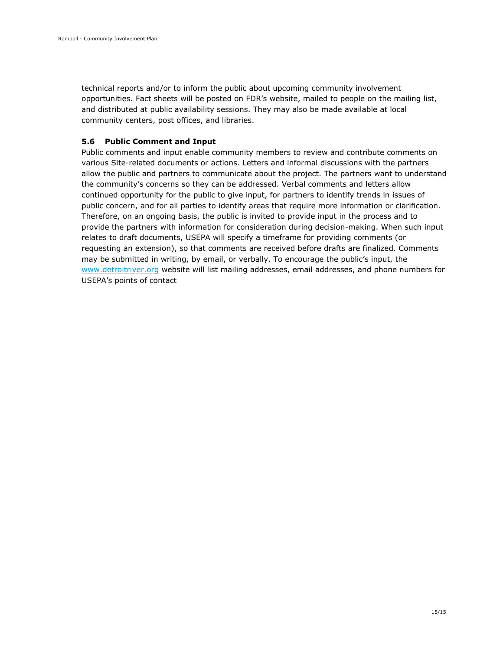technical reports and/or to inform the public about upcoming community involvement opportunities. Fact sheets will be posted on FDR's website, mailed to people on the mailing list, and distributed at public availability sessions. They may also be made available at local community centers, post offices, and libraries.

#### <span id="page-18-0"></span>**5.6 Public Comment and Input**

Public comments and input enable community members to review and contribute comments on various Site-related documents or actions. Letters and informal discussions with the partners allow the public and partners to communicate about the project. The partners want to understand the community's concerns so they can be addressed. Verbal comments and letters allow continued opportunity for the public to give input, for partners to identify trends in issues of public concern, and for all parties to identify areas that require more information or clarification. Therefore, on an ongoing basis, the public is invited to provide input in the process and to provide the partners with information for consideration during decision-making. When such input relates to draft documents, USEPA will specify a timeframe for providing comments (or requesting an extension), so that comments are received before drafts are finalized. Comments may be submitted in writing, by email, or verbally. To encourage the public's input, the [www.detroitriver.org](http://www.detroitriver.org/) website will list mailing addresses, email addresses, and phone numbers for USEPA's points of contact